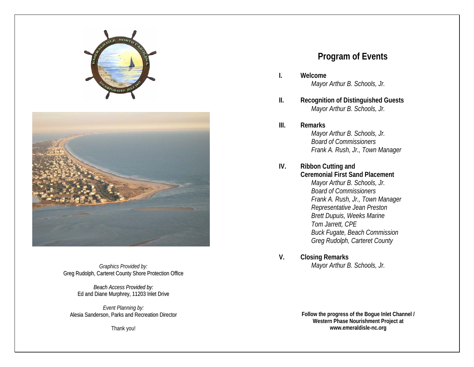



*Graphics Provided by:*  Greg Rudolph, Carteret County Shore Protection Office

> *Beach Access Provided by:* Ed and Diane Murphrey, 11203 Inlet Drive

*Event Planning by:*  Alesia Sanderson, Parks and Recreation Director

Thank you!

#### **Program of Events**

 **Welcome***Mayor Arthur B. Schools, Jr.* 

**I.**

**III.**

- **II. Recognition of Distinguished Guests** *Mayor Arthur B. Schools, Jr.* 
	- **Remarks***Mayor Arthur B. Schools, Jr. Board of Commissioners Frank A. Rush, Jr., Town Manager*
- **IV. Ribbon Cutting and Ceremonial First Sand Placement***Mayor Arthur B. Schools, Jr. Board of Commissioners Frank A. Rush, Jr., Town Manager Representative Jean Preston Brett Dupuis, Weeks Marine Tom Jarrett, CPE Buck Fugate, Beach Commission Greg Rudolph, Carteret County*
- **V. Closing Remarks** *Mayor Arthur B. Schools, Jr.*

**Follow the progress of the Bogue Inlet Channel / Western Phase Nourishment Project at www.emeraldisle-nc.org**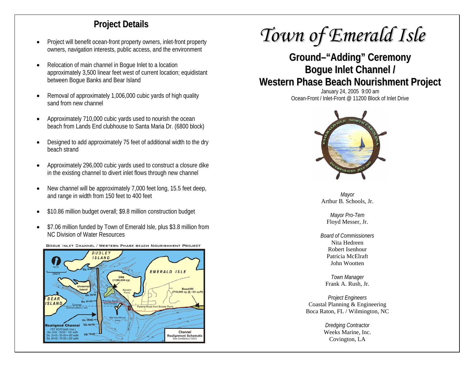### **Project Details**

- • Project will benefit ocean-front property owners, inlet-front property owners, navigation interests, public access, and the environment
- • Relocation of main channel in Bogue Inlet to a location approximately 3,500 linear feet west of current location; equidistant between Bogue Banks and Bear Island
- • Removal of approximately 1,006,000 cubic yards of high quality sand from new channel
- • Approximately 710,000 cubic yards used to nourish the ocean beach from Lands End clubhouse to Santa Maria Dr. (6800 block)
- • Designed to add approximately 75 feet of additional width to the dry beach strand
- • Approximately 296,000 cubic yards used to construct a closure dike in the existing channel to divert inlet flows through new channel
- • New channel will be approximately 7,000 feet long, 15.5 feet deep, and range in width from 150 feet to 400 feet
- •\$10.86 million budget overall; \$9.8 million construction budget
- • \$7.06 million funded by Town of Emerald Isle, plus \$3.8 million from NC Division of Water Resources



#### BOGUE INLET CHANNEL / WESTERN PHASE BEACH NOURISHMENT PROJECT

# *Town of Emerald Isle*

## **Ground–"Adding" Ceremony Bogue Inlet Channel / Western Phase Beach Nourishment Project**

January 24, 2005 9:00 am Ocean-Front / Inlet-Front @ 11200 Block of Inlet Drive



*Mayor*  Arthur B. Schools, Jr.

*Mayor Pro-Tem*  Floyd Messer, Jr.

*Board of Commissioners* Nita Hedreen Robert Isenhour Patricia McElraft John Wootten

*Town Manager*  Frank A. Rush, Jr.

*Project Engineers*  Coastal Planning & Engineering Boca Raton, FL / Wilmington, NC

> *Dredging Contractor*  Weeks Marine, Inc. Covington, LA